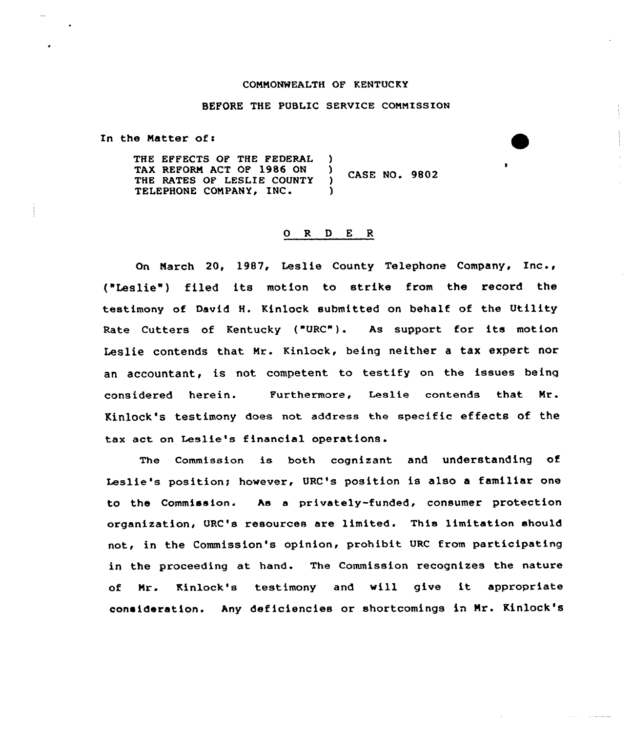## CONNONNEALTH OF KENTUCKY

## BEFORE THE PUBLIC SERVICE COMNISSION

In the Matter of:

THE EFFECTS OF THE FEDERAL )<br>TAX REFORM ACT OF 1986 ON ) TAX REFORM ACT OF 1986 ON ( ) CASE NO. 9802 TELEPHONE COMPANY, INC.

## 0 R <sup>D</sup> E R

On March 20, 1987, Leslie County Telephone Company, Inc., ("Leslie") filed its motion to stxike from the record the testimony af David H. Kinloek submitted on behalf of the Utility Rate Cutters of Kentucky ("URC"). As support for its motion Leslie contends that Mr. Kinlock, being neither a tax expert nor an accountant, is not competent to testify on the issues being considered herein. Furthermore, Leslie contends that Mr. Kinlock's testimony does not address the specific effects of the tax act an Leslie's financial operations.

The Commission is both cognizant and understanding of Leslie's position; however, URC's position is also a familiar one to the Commission. As a privately-funded, consumer protection organization, URC's xesources are limited. This limitation should not, in the Commission's opinion, prohibit URC from participating in the proceeding at hand. The Commission recognizes the nature of Mr. Kinlock's testimony and will give it appropriate consideration. Any deficiencies or shortcomings in Nr. Kinlock's